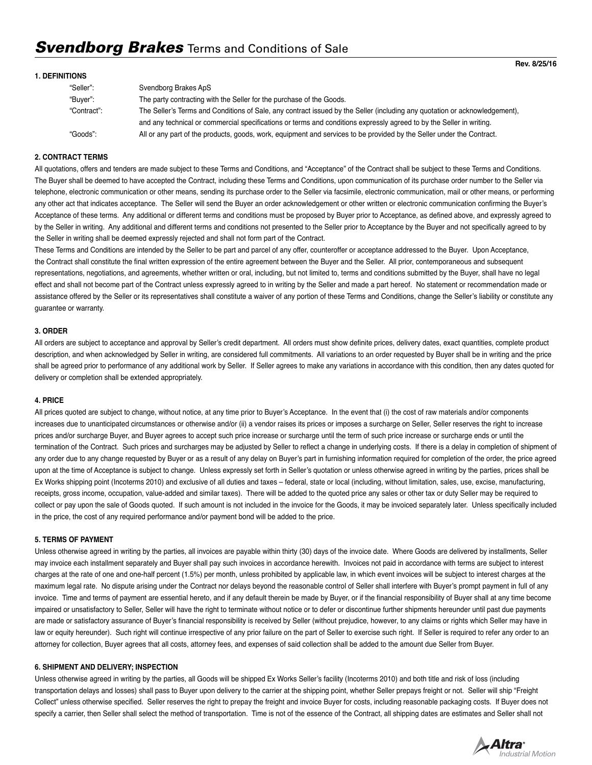#### **1. DEFINITIONS**

| "Seller":   | Svendborg Brakes ApS                                                                                                       |
|-------------|----------------------------------------------------------------------------------------------------------------------------|
| "Buyer":    | The party contracting with the Seller for the purchase of the Goods.                                                       |
| "Contract": | The Seller's Terms and Conditions of Sale, any contract issued by the Seller (including any quotation or acknowledgement), |
|             | and any technical or commercial specifications or terms and conditions expressly agreed to by the Seller in writing.       |
| "Goods":    | All or any part of the products, goods, work, equipment and services to be provided by the Seller under the Contract.      |

#### **2. CONTRACT TERMS**

All quotations, offers and tenders are made subject to these Terms and Conditions, and "Acceptance" of the Contract shall be subject to these Terms and Conditions. The Buyer shall be deemed to have accepted the Contract, including these Terms and Conditions, upon communication of its purchase order number to the Seller via telephone, electronic communication or other means, sending its purchase order to the Seller via facsimile, electronic communication, mail or other means, or performing any other act that indicates acceptance. The Seller will send the Buyer an order acknowledgement or other written or electronic communication confirming the Buyer's Acceptance of these terms. Any additional or different terms and conditions must be proposed by Buyer prior to Acceptance, as defined above, and expressly agreed to by the Seller in writing. Any additional and different terms and conditions not presented to the Seller prior to Acceptance by the Buyer and not specifically agreed to by the Seller in writing shall be deemed expressly rejected and shall not form part of the Contract.

These Terms and Conditions are intended by the Seller to be part and parcel of any offer, counteroffer or acceptance addressed to the Buyer. Upon Acceptance, the Contract shall constitute the final written expression of the entire agreement between the Buyer and the Seller. All prior, contemporaneous and subsequent representations, negotiations, and agreements, whether written or oral, including, but not limited to, terms and conditions submitted by the Buyer, shall have no legal effect and shall not become part of the Contract unless expressly agreed to in writing by the Seller and made a part hereof. No statement or recommendation made or assistance offered by the Seller or its representatives shall constitute a waiver of any portion of these Terms and Conditions, change the Seller's liability or constitute any guarantee or warranty.

#### **3. ORDER**

All orders are subject to acceptance and approval by Seller's credit department. All orders must show definite prices, delivery dates, exact quantities, complete product description, and when acknowledged by Seller in writing, are considered full commitments. All variations to an order requested by Buyer shall be in writing and the price shall be agreed prior to performance of any additional work by Seller. If Seller agrees to make any variations in accordance with this condition, then any dates quoted for delivery or completion shall be extended appropriately.

#### **4. PRICE**

All prices quoted are subject to change, without notice, at any time prior to Buyer's Acceptance. In the event that (i) the cost of raw materials and/or components increases due to unanticipated circumstances or otherwise and/or (ii) a vendor raises its prices or imposes a surcharge on Seller, Seller reserves the right to increase prices and/or surcharge Buyer, and Buyer agrees to accept such price increase or surcharge until the term of such price increase or surcharge ends or until the termination of the Contract. Such prices and surcharges may be adjusted by Seller to reflect a change in underlying costs. If there is a delay in completion of shipment of any order due to any change requested by Buyer or as a result of any delay on Buyer's part in furnishing information required for completion of the order, the price agreed upon at the time of Acceptance is subject to change. Unless expressly set forth in Seller's quotation or unless otherwise agreed in writing by the parties, prices shall be Ex Works shipping point (Incoterms 2010) and exclusive of all duties and taxes – federal, state or local (including, without limitation, sales, use, excise, manufacturing, receipts, gross income, occupation, value-added and similar taxes). There will be added to the quoted price any sales or other tax or duty Seller may be required to collect or pay upon the sale of Goods quoted. If such amount is not included in the invoice for the Goods, it may be invoiced separately later. Unless specifically included in the price, the cost of any required performance and/or payment bond will be added to the price.

#### **5. TERMS OF PAYMENT**

Unless otherwise agreed in writing by the parties, all invoices are payable within thirty (30) days of the invoice date. Where Goods are delivered by installments, Seller may invoice each installment separately and Buyer shall pay such invoices in accordance herewith. Invoices not paid in accordance with terms are subject to interest charges at the rate of one and one-half percent (1.5%) per month, unless prohibited by applicable law, in which event invoices will be subject to interest charges at the maximum legal rate. No dispute arising under the Contract nor delays beyond the reasonable control of Seller shall interfere with Buyer's prompt payment in full of any invoice. Time and terms of payment are essential hereto, and if any default therein be made by Buyer, or if the financial responsibility of Buyer shall at any time become impaired or unsatisfactory to Seller, Seller will have the right to terminate without notice or to defer or discontinue further shipments hereunder until past due payments are made or satisfactory assurance of Buyer's financial responsibility is received by Seller (without prejudice, however, to any claims or rights which Seller may have in law or equity hereunder). Such right will continue irrespective of any prior failure on the part of Seller to exercise such right. If Seller is required to refer any order to an attorney for collection, Buyer agrees that all costs, attorney fees, and expenses of said collection shall be added to the amount due Seller from Buyer.

#### **6. SHIPMENT AND DELIVERY; INSPECTION**

Unless otherwise agreed in writing by the parties, all Goods will be shipped Ex Works Seller's facility (Incoterms 2010) and both title and risk of loss (including transportation delays and losses) shall pass to Buyer upon delivery to the carrier at the shipping point, whether Seller prepays freight or not. Seller will ship "Freight Collect" unless otherwise specified. Seller reserves the right to prepay the freight and invoice Buyer for costs, including reasonable packaging costs. If Buyer does not specify a carrier, then Seller shall select the method of transportation. Time is not of the essence of the Contract, all shipping dates are estimates and Seller shall not

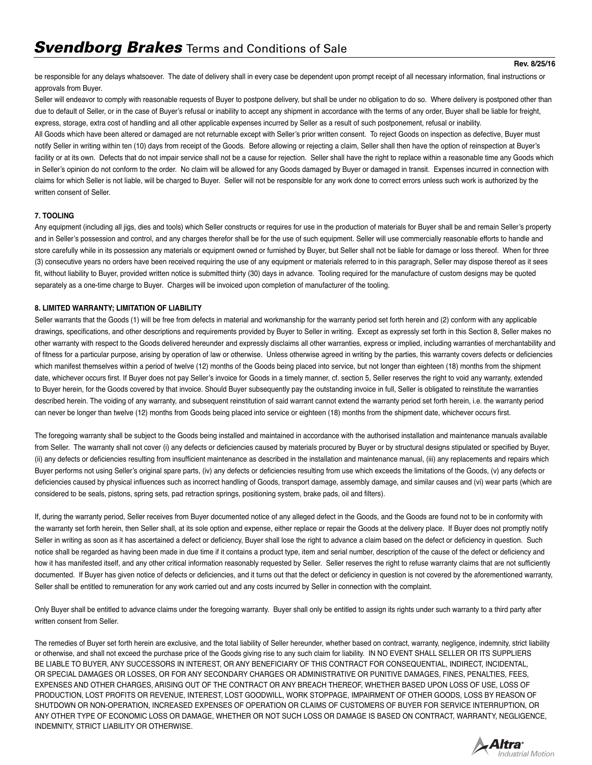be responsible for any delays whatsoever. The date of delivery shall in every case be dependent upon prompt receipt of all necessary information, final instructions or approvals from Buyer.

Seller will endeavor to comply with reasonable requests of Buyer to postpone delivery, but shall be under no obligation to do so. Where delivery is postponed other than due to default of Seller, or in the case of Buyer's refusal or inability to accept any shipment in accordance with the terms of any order, Buyer shall be liable for freight, express, storage, extra cost of handling and all other applicable expenses incurred by Seller as a result of such postponement, refusal or inability.

All Goods which have been altered or damaged are not returnable except with Seller's prior written consent. To reject Goods on inspection as defective, Buyer must notify Seller in writing within ten (10) days from receipt of the Goods. Before allowing or rejecting a claim, Seller shall then have the option of reinspection at Buyer's facility or at its own. Defects that do not impair service shall not be a cause for rejection. Seller shall have the right to replace within a reasonable time any Goods which in Seller's opinion do not conform to the order. No claim will be allowed for any Goods damaged by Buyer or damaged in transit. Expenses incurred in connection with claims for which Seller is not liable, will be charged to Buyer. Seller will not be responsible for any work done to correct errors unless such work is authorized by the written consent of Seller.

# **7. TOOLING**

Any equipment (including all jigs, dies and tools) which Seller constructs or requires for use in the production of materials for Buyer shall be and remain Seller's property and in Seller's possession and control, and any charges therefor shall be for the use of such equipment. Seller will use commercially reasonable efforts to handle and store carefully while in its possession any materials or equipment owned or furnished by Buyer, but Seller shall not be liable for damage or loss thereof. When for three (3) consecutive years no orders have been received requiring the use of any equipment or materials referred to in this paragraph, Seller may dispose thereof as it sees fit, without liability to Buyer, provided written notice is submitted thirty (30) days in advance. Tooling required for the manufacture of custom designs may be quoted separately as a one-time charge to Buyer. Charges will be invoiced upon completion of manufacturer of the tooling.

## **8. LIMITED WARRANTY; LIMITATION OF LIABILITY**

Seller warrants that the Goods (1) will be free from defects in material and workmanship for the warranty period set forth herein and (2) conform with any applicable drawings, specifications, and other descriptions and requirements provided by Buyer to Seller in writing. Except as expressly set forth in this Section 8, Seller makes no other warranty with respect to the Goods delivered hereunder and expressly disclaims all other warranties, express or implied, including warranties of merchantability and of fitness for a particular purpose, arising by operation of law or otherwise. Unless otherwise agreed in writing by the parties, this warranty covers defects or deficiencies which manifest themselves within a period of twelve (12) months of the Goods being placed into service, but not longer than eighteen (18) months from the shipment date, whichever occurs first. If Buyer does not pay Seller's invoice for Goods in a timely manner, cf. section 5, Seller reserves the right to void any warranty, extended to Buyer herein, for the Goods covered by that invoice. Should Buyer subsequently pay the outstanding invoice in full, Seller is obligated to reinstitute the warranties described herein. The voiding of any warranty, and subsequent reinstitution of said warrant cannot extend the warranty period set forth herein, i.e. the warranty period can never be longer than twelve (12) months from Goods being placed into service or eighteen (18) months from the shipment date, whichever occurs first.

The foregoing warranty shall be subject to the Goods being installed and maintained in accordance with the authorised installation and maintenance manuals available from Seller. The warranty shall not cover (i) any defects or deficiencies caused by materials procured by Buyer or by structural designs stipulated or specified by Buyer, (ii) any defects or deficiencies resulting from insufficient maintenance as described in the installation and maintenance manual, (iii) any replacements and repairs which Buyer performs not using Seller's original spare parts, (iv) any defects or deficiencies resulting from use which exceeds the limitations of the Goods, (v) any defects or deficiencies caused by physical influences such as incorrect handling of Goods, transport damage, assembly damage, and similar causes and (vi) wear parts (which are considered to be seals, pistons, spring sets, pad retraction springs, positioning system, brake pads, oil and filters).

If, during the warranty period, Seller receives from Buyer documented notice of any alleged defect in the Goods, and the Goods are found not to be in conformity with the warranty set forth herein, then Seller shall, at its sole option and expense, either replace or repair the Goods at the delivery place. If Buyer does not promptly notify Seller in writing as soon as it has ascertained a defect or deficiency. Buyer shall lose the right to advance a claim based on the defect or deficiency in question. Such notice shall be regarded as having been made in due time if it contains a product type, item and serial number, description of the cause of the defect or deficiency and how it has manifested itself, and any other critical information reasonably requested by Seller. Seller reserves the right to refuse warranty claims that are not sufficiently documented. If Buyer has given notice of defects or deficiencies, and it turns out that the defect or deficiency in question is not covered by the aforementioned warranty, Seller shall be entitled to remuneration for any work carried out and any costs incurred by Seller in connection with the complaint.

Only Buyer shall be entitled to advance claims under the foregoing warranty. Buyer shall only be entitled to assign its rights under such warranty to a third party after written consent from Seller.

The remedies of Buyer set forth herein are exclusive, and the total liability of Seller hereunder, whether based on contract, warranty, negligence, indemnity, strict liability or otherwise, and shall not exceed the purchase price of the Goods giving rise to any such claim for liability. IN NO EVENT SHALL SELLER OR ITS SUPPLIERS BE LIABLE TO BUYER, ANY SUCCESSORS IN INTEREST, OR ANY BENEFICIARY OF THIS CONTRACT FOR CONSEQUENTIAL, INDIRECT, INCIDENTAL, OR SPECIAL DAMAGES OR LOSSES, OR FOR ANY SECONDARY CHARGES OR ADMINISTRATIVE OR PUNITIVE DAMAGES, FINES, PENALTIES, FEES, EXPENSES AND OTHER CHARGES, ARISING OUT OF THE CONTRACT OR ANY BREACH THEREOF, WHETHER BASED UPON LOSS OF USE, LOSS OF PRODUCTION, LOST PROFITS OR REVENUE, INTEREST, LOST GOODWILL, WORK STOPPAGE, IMPAIRMENT OF OTHER GOODS, LOSS BY REASON OF SHUTDOWN OR NON-OPERATION, INCREASED EXPENSES OF OPERATION OR CLAIMS OF CUSTOMERS OF BUYER FOR SERVICE INTERRUPTION, OR ANY OTHER TYPE OF ECONOMIC LOSS OR DAMAGE, WHETHER OR NOT SUCH LOSS OR DAMAGE IS BASED ON CONTRACT, WARRANTY, NEGLIGENCE, INDEMNITY, STRICT LIABILITY OR OTHERWISE.

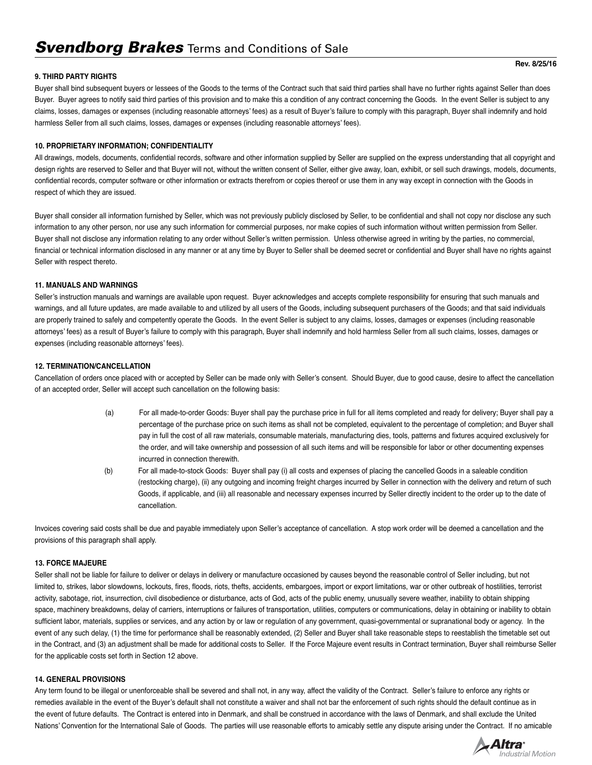## **9. THIRD PARTY RIGHTS**

Buyer shall bind subsequent buyers or lessees of the Goods to the terms of the Contract such that said third parties shall have no further rights against Seller than does Buyer. Buyer agrees to notify said third parties of this provision and to make this a condition of any contract concerning the Goods. In the event Seller is subject to any claims, losses, damages or expenses (including reasonable attorneys' fees) as a result of Buyer's failure to comply with this paragraph, Buyer shall indemnify and hold harmless Seller from all such claims, losses, damages or expenses (including reasonable attorneys' fees).

### **10. PROPRIETARY INFORMATION; CONFIDENTIALITY**

All drawings, models, documents, confidential records, software and other information supplied by Seller are supplied on the express understanding that all copyright and design rights are reserved to Seller and that Buyer will not, without the written consent of Seller, either give away, loan, exhibit, or sell such drawings, models, documents, confidential records, computer software or other information or extracts therefrom or copies thereof or use them in any way except in connection with the Goods in respect of which they are issued.

Buyer shall consider all information furnished by Seller, which was not previously publicly disclosed by Seller, to be confidential and shall not copy nor disclose any such information to any other person, nor use any such information for commercial purposes, nor make copies of such information without written permission from Seller. Buyer shall not disclose any information relating to any order without Seller's written permission. Unless otherwise agreed in writing by the parties, no commercial, financial or technical information disclosed in any manner or at any time by Buyer to Seller shall be deemed secret or confidential and Buyer shall have no rights against Seller with respect thereto.

## **11. MANUALS AND WARNINGS**

Seller's instruction manuals and warnings are available upon request. Buyer acknowledges and accepts complete responsibility for ensuring that such manuals and warnings, and all future updates, are made available to and utilized by all users of the Goods, including subsequent purchasers of the Goods; and that said individuals are properly trained to safely and competently operate the Goods. In the event Seller is subject to any claims, losses, damages or expenses (including reasonable attorneys' fees) as a result of Buyer's failure to comply with this paragraph, Buyer shall indemnify and hold harmless Seller from all such claims, losses, damages or expenses (including reasonable attorneys' fees).

## **12. TERMINATION/CANCELLATION**

Cancellation of orders once placed with or accepted by Seller can be made only with Seller's consent. Should Buyer, due to good cause, desire to affect the cancellation of an accepted order, Seller will accept such cancellation on the following basis:

- (a) For all made-to-order Goods: Buyer shall pay the purchase price in full for all items completed and ready for delivery; Buyer shall pay a percentage of the purchase price on such items as shall not be completed, equivalent to the percentage of completion; and Buyer shall pay in full the cost of all raw materials, consumable materials, manufacturing dies, tools, patterns and fixtures acquired exclusively for the order, and will take ownership and possession of all such items and will be responsible for labor or other documenting expenses incurred in connection therewith.
- (b) For all made-to-stock Goods: Buyer shall pay (i) all costs and expenses of placing the cancelled Goods in a saleable condition (restocking charge), (ii) any outgoing and incoming freight charges incurred by Seller in connection with the delivery and return of such Goods, if applicable, and (iii) all reasonable and necessary expenses incurred by Seller directly incident to the order up to the date of cancellation.

Invoices covering said costs shall be due and payable immediately upon Seller's acceptance of cancellation. A stop work order will be deemed a cancellation and the provisions of this paragraph shall apply.

### **13. FORCE MAJEURE**

Seller shall not be liable for failure to deliver or delays in delivery or manufacture occasioned by causes beyond the reasonable control of Seller including, but not limited to, strikes, labor slowdowns, lockouts, fires, floods, riots, thefts, accidents, embargoes, import or export limitations, war or other outbreak of hostilities, terrorist activity, sabotage, riot, insurrection, civil disobedience or disturbance, acts of God, acts of the public enemy, unusually severe weather, inability to obtain shipping space, machinery breakdowns, delay of carriers, interruptions or failures of transportation, utilities, computers or communications, delay in obtaining or inability to obtain sufficient labor, materials, supplies or services, and any action by or law or regulation of any government, quasi-governmental or supranational body or agency. In the event of any such delay, (1) the time for performance shall be reasonably extended, (2) Seller and Buyer shall take reasonable steps to reestablish the timetable set out in the Contract, and (3) an adjustment shall be made for additional costs to Seller. If the Force Majeure event results in Contract termination, Buyer shall reimburse Seller for the applicable costs set forth in Section 12 above.

## **14. GENERAL PROVISIONS**

Any term found to be illegal or unenforceable shall be severed and shall not, in any way, affect the validity of the Contract. Seller's failure to enforce any rights or remedies available in the event of the Buyer's default shall not constitute a waiver and shall not bar the enforcement of such rights should the default continue as in the event of future defaults. The Contract is entered into in Denmark, and shall be construed in accordance with the laws of Denmark, and shall exclude the United Nations' Convention for the International Sale of Goods. The parties will use reasonable efforts to amicably settle any dispute arising under the Contract. If no amicable